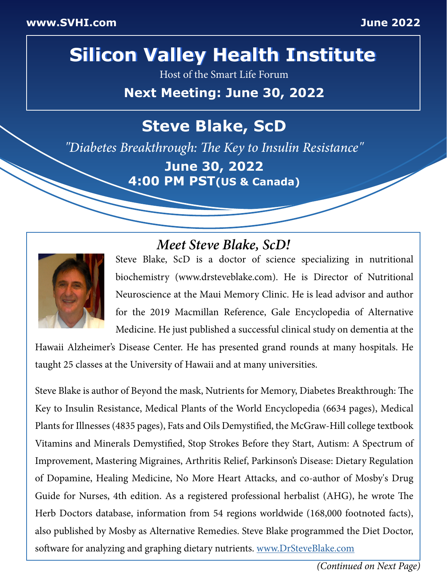# **Silicon Valley Health Institute Silicon Valley Health Institute**

Host of the Smart Life Forum

**Next Meeting: June 30, 2022**

## **Steve Blake, ScD**

*"Diabetes Breakthrough: The Key to Insulin Resistance"*

**June 30, 2022 4:00 PM PST(US & Canada)**

## *Meet Steve Blake, ScD!*



Steve Blake, ScD is a doctor of science specializing in nutritional biochemistry (www.drsteveblake.com). He is Director of Nutritional Neuroscience at the Maui Memory Clinic. He is lead advisor and author for the 2019 Macmillan Reference, Gale Encyclopedia of Alternative Medicine. He just published a successful clinical study on dementia at the

Hawaii Alzheimer's Disease Center. He has presented grand rounds at many hospitals. He taught 25 classes at the University of Hawaii and at many universities.

Steve Blake is author of Beyond the mask, Nutrients for Memory, Diabetes Breakthrough: The Key to Insulin Resistance, Medical Plants of the World Encyclopedia (6634 pages), Medical Plants for Illnesses (4835 pages), Fats and Oils Demystified, the McGraw-Hill college textbook Vitamins and Minerals Demystified, Stop Strokes Before they Start, Autism: A Spectrum of Improvement, Mastering Migraines, Arthritis Relief, Parkinson's Disease: Dietary Regulation of Dopamine, Healing Medicine, No More Heart Attacks, and co-author of Mosby's Drug Guide for Nurses, 4th edition. As a registered professional herbalist (AHG), he wrote The Herb Doctors database, information from 54 regions worldwide (168,000 footnoted facts), also published by Mosby as Alternative Remedies. Steve Blake programmed the Diet Doctor, software for analyzing and graphing dietary nutrients. [www.DrSteveBlake.com](http://www.DrSteveBlake.com)

*(Continued on Next Page)*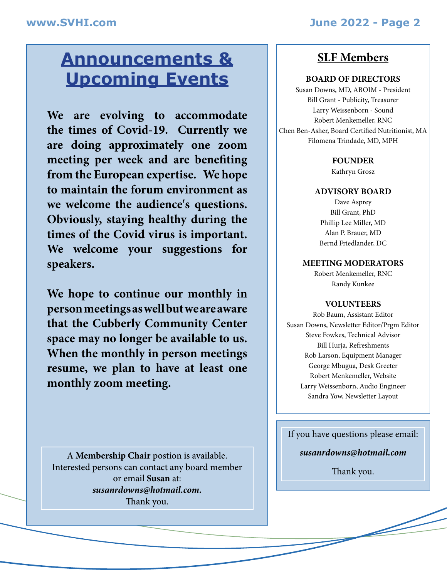## **Announcements & Upcoming Events**

**We are evolving to accommodate the times of Covid-19. Currently we are doing approximately one zoom meeting per week and are benefiting from the European expertise. We hope to maintain the forum environment as we welcome the audience's questions. Obviously, staying healthy during the times of the Covid virus is important. We welcome your suggestions for speakers.**

**We hope to continue our monthly in person meetings as well but we are aware that the Cubberly Community Center space may no longer be available to us. When the monthly in person meetings resume, we plan to have at least one monthly zoom meeting.**

A **Membership Chair** postion is available. Interested persons can contact any board member or email **Susan** at: *susanrdowns@hotmail.com.* Thank you.

### **SLF Members**

I

#### **BOARD OF DIRECTORS**

Susan Downs, MD, ABOIM - President Bill Grant - Publicity, Treasurer Larry Weissenborn - Sound Robert Menkemeller, RNC Chen Ben-Asher, Board Certified Nutritionist, MA Filomena Trindade, MD, MPH

#### **FOUNDER**

Kathryn Grosz

#### **ADVISORY BOARD**

Dave Asprey Bill Grant, PhD Phillip Lee Miller, MD Alan P. Brauer, MD Bernd Friedlander, DC

#### **MEETING MODERATORS**

Robert Menkemeller, RNC Randy Kunkee

#### **VOLUNTEERS**

Rob Baum, Assistant Editor Susan Downs, Newsletter Editor/Prgm Editor Steve Fowkes, Technical Advisor Bill Hurja, Refreshments Rob Larson, Equipment Manager George Mbugua, Desk Greeter Robert Menkemeller, Website Larry Weissenborn, Audio Engineer Sandra Yow, Newsletter Layout

If you have questions please email:

*[susanrdowns@hotmail.com](mailto:susanrdowns%40hotmail.com?subject=Susan%2C%20I%20Have%20A%20Question%21)*

Thank you.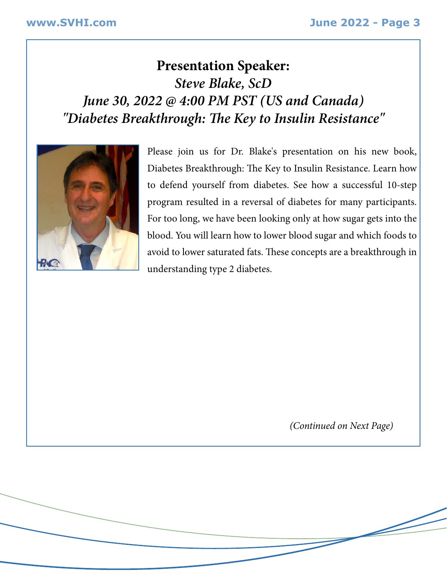## **Presentation Speaker:** *Steve Blake, ScD June 30, 2022 @ 4:00 PM PST (US and Canada) "Diabetes Breakthrough: The Key to Insulin Resistance"*



Please join us for Dr. Blake's presentation on his new book, Diabetes Breakthrough: The Key to Insulin Resistance. Learn how to defend yourself from diabetes. See how a successful 10-step program resulted in a reversal of diabetes for many participants. For too long, we have been looking only at how sugar gets into the blood. You will learn how to lower blood sugar and which foods to avoid to lower saturated fats. These concepts are a breakthrough in understanding type 2 diabetes.

*(Continued on Next Page)*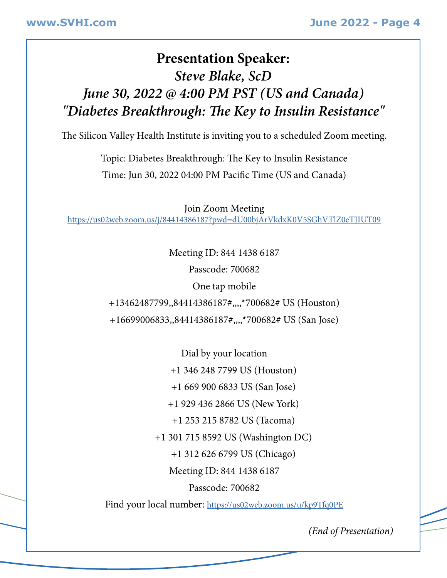## **Presentation Speaker:** *Steve Blake, ScD June 30, 2022 @ 4:00 PM PST (US and Canada) "Diabetes Breakthrough: The Key to Insulin Resistance"*

The Silicon Valley Health Institute is inviting you to a scheduled Zoom meeting.

Topic: Diabetes Breakthrough: The Key to Insulin Resistance Time: Jun 30, 2022 04:00 PM Pacific Time (US and Canada)

Join Zoom Meeting [https://us02web.zoom.us/j/84414386187?pwd=dU00bjArVkdxK0V5SGhVTlZ0eTJIUT09](https://us02web.zoom.us/j/84414386187?pwd=dU00bjArVkdxK0V5SGhVTlZ0eTJIUT09 )

Meeting ID: 844 1438 6187

Passcode: 700682

One tap mobile

+13462487799,,84414386187#,,,,\*700682# US (Houston)

+16699006833,,84414386187#,,,,\*700682# US (San Jose)

Dial by your location +1 346 248 7799 US (Houston) +1 669 900 6833 US (San Jose) +1 929 436 2866 US (New York) +1 253 215 8782 US (Tacoma) +1 301 715 8592 US (Washington DC) +1 312 626 6799 US (Chicago) Meeting ID: 844 1438 6187 Passcode: 700682

Find your local number:<https://us02web.zoom.us/u/kp9Tfq0PE>

*(End of Presentation)*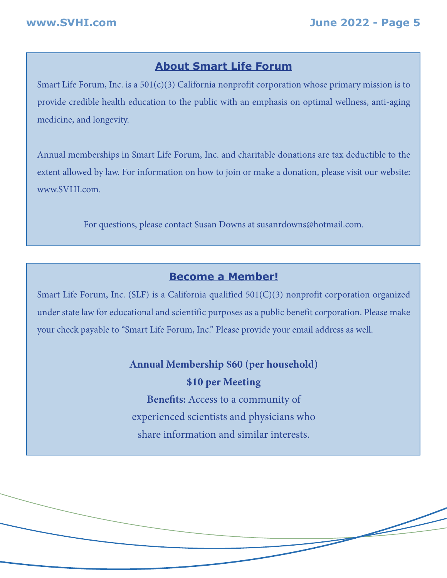### **About Smart Life Forum**

Smart Life Forum, Inc. is a  $501(c)(3)$  California nonprofit corporation whose primary mission is to provide credible health education to the public with an emphasis on optimal wellness, anti-aging medicine, and longevity.

Annual memberships in Smart Life Forum, Inc. and charitable donations are tax deductible to the extent allowed by law. For information on how to join or make a donation, please visit our website: www.SVHI.com.

For questions, please contact Susan Downs at susanrdowns@hotmail.com.

### **Become a Member!**

Smart Life Forum, Inc. (SLF) is a California qualified 501(C)(3) nonprofit corporation organized under state law for educational and scientific purposes as a public benefit corporation. Please make your check payable to "Smart Life Forum, Inc." Please provide your email address as well.

### **Annual Membership \$60 (per household) \$10 per Meeting**

**Benefits:** Access to a community of experienced scientists and physicians who share information and similar interests.